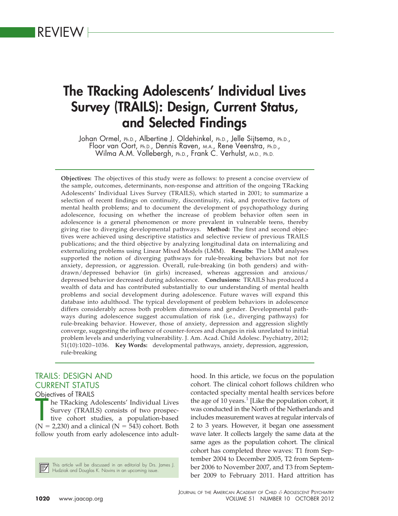# **The TRacking Adolescents' Individual Lives Survey (TRAILS): Design, Current Status, and Selected Findings**

Johan Ormel, Ph.D., Albertine J. Oldehinkel, Ph.D., Jelle Sijtsema, Ph.D., Floor van Oort, Ph.D., Dennis Raven, M.A., Rene Veenstra, Ph.D., Wilma A.M. Vollebergh, Ph.D., Frank C. Verhulst, M.D., Ph.D.

**Objectives:** The objectives of this study were as follows: to present a concise overview of the sample, outcomes, determinants, non-response and attrition of the ongoing TRacking Adolescents' Individual Lives Survey (TRAILS), which started in 2001; to summarize a selection of recent findings on continuity, discontinuity, risk, and protective factors of mental health problems; and to document the development of psychopathology during adolescence, focusing on whether the increase of problem behavior often seen in adolescence is a general phenomenon or more prevalent in vulnerable teens, thereby giving rise to diverging developmental pathways. **Method:** The first and second objectives were achieved using descriptive statistics and selective review of previous TRAILS publications; and the third objective by analyzing longitudinal data on internalizing and externalizing problems using Linear Mixed Models (LMM). **Results:** The LMM analyses supported the notion of diverging pathways for rule-breaking behaviors but not for anxiety, depression, or aggression. Overall, rule-breaking (in both genders) and withdrawn/depressed behavior (in girls) increased, whereas aggression and anxious/ depressed behavior decreased during adolescence. **Conclusions:** TRAILS has produced a wealth of data and has contributed substantially to our understanding of mental health problems and social development during adolescence. Future waves will expand this database into adulthood. The typical development of problem behaviors in adolescence differs considerably across both problem dimensions and gender. Developmental pathways during adolescence suggest accumulation of risk (i.e., diverging pathways) for rule-breaking behavior. However, those of anxiety, depression and aggression slightly converge, suggesting the influence of counter-forces and changes in risk unrelated to initial problem levels and underlying vulnerability. J. Am. Acad. Child Adolesc. Psychiatry, 2012; 51(10):1020–1036. **Key Words:** developmental pathways, anxiety, depression, aggression, rule-breaking

# TRAILS: DESIGN AND CURRENT STATUS

# Objectives of TRAILS

he TRacking Adolescents' Individual Lives<br>Survey (TRAILS) consists of two prospec-<br>tive cohort studies, a population-based<br>(N = 2,230) and a clinical (N = 543) cohort. Both he TRacking Adolescents' Individual Lives Survey (TRAILS) consists of two prospective cohort studies, a population-based follow youth from early adolescence into adult-

This article will be discussed in an editorial by Drs. James J. Hudziak and Douglas K. Novins in an upcoming issue.

hood. In this article, we focus on the population cohort. The clinical cohort follows children who contacted specialty mental health services before the age of [1](#page-14-0)0 years.<sup>1</sup> [Like the population cohort, it was conducted in the North of the Netherlands and includes measurement waves at regular intervals of 2 to 3 years. However, it began one assessment wave later. It collects largely the same data at the same ages as the population cohort. The clinical cohort has completed three waves: T1 from September 2004 to December 2005, T2 from September 2006 to November 2007, and T3 from September 2009 to February 2011. Hard attrition has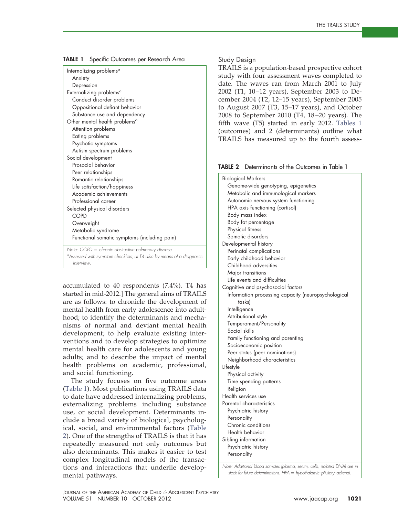<span id="page-1-0"></span>

|  |  |  |  | TABLE 1 Specific Outcomes per Research Area |
|--|--|--|--|---------------------------------------------|
|--|--|--|--|---------------------------------------------|

| Internalizing problems <sup>a</sup>                 |
|-----------------------------------------------------|
| Anxiety                                             |
| Depression                                          |
| Externalizing problems <sup>a</sup>                 |
| Conduct disorder problems                           |
| Oppositional defiant behavior                       |
| Substance use and dependency                        |
| Other mental health problems <sup>a</sup>           |
| Attention problems                                  |
| Eating problems                                     |
| Psychotic symptoms                                  |
| Autism spectrum problems                            |
| Social development                                  |
| Prosocial behavior                                  |
| Peer relationships                                  |
| Romantic relationships                              |
| Life satisfaction/happiness                         |
| Academic achievements                               |
| Professional career                                 |
| Selected physical disorders                         |
| <b>COPD</b>                                         |
| Overweight                                          |
| Metabolic syndrome                                  |
| Functional somatic symptoms (including pain)        |
|                                                     |
| Note: COPD = chronic obstructive pulmonary disease. |
| $1 \t1 \t1$ $\tau$ $1 \t1$                          |

*a Assessed with symptom checklists; at T4 also by means of a diagnostic interview.*

accumulated to 40 respondents (7.4%). T4 has started in mid-2012.] The general aims of TRAILS are as follows: to chronicle the development of mental health from early adolescence into adulthood; to identify the determinants and mechanisms of normal and deviant mental health development; to help evaluate existing interventions and to develop strategies to optimize mental health care for adolescents and young adults; and to describe the impact of mental health problems on academic, professional, and social functioning.

The study focuses on five outcome areas [\(Table 1\)](#page-1-0). Most publications using TRAILS data to date have addressed internalizing problems, externalizing problems including substance use, or social development. Determinants include a broad variety of biological, psychological, social, and environmental factors [\(Table](#page-1-1) [2\)](#page-1-1). One of the strengths of TRAILS is that it has repeatedly measured not only outcomes but also determinants. This makes it easier to test complex longitudinal models of the transactions and interactions that underlie developmental pathways.

# Study Design

TRAILS is a population-based prospective cohort study with four assessment waves completed to date. The waves ran from March 2001 to July 2002 (T1, 10–12 years), September 2003 to December 2004 (T2, 12–15 years), September 2005 to August 2007 (T3, 15–17 years), and October 2008 to September 2010 (T4, 18 –20 years). The fifth wave (T5) started in early 2012. [Tables 1](#page-1-0) (outcomes) and 2 (determinants) outline what TRAILS has measured up to the fourth assess-

## <span id="page-1-1"></span>**TABLE 2** Determinants of the Outcomes in Table 1

| <b>Biological Markers</b><br>Genome-wide genotyping, epigenetics<br>Metabolic and immunological markers<br>Autonomic nervous system functioning<br>HPA axis functioning (cortisol)<br>Body mass index<br>Body fat percentage<br><b>Physical fitness</b><br>Somatic disorders |
|------------------------------------------------------------------------------------------------------------------------------------------------------------------------------------------------------------------------------------------------------------------------------|
| Developmental history<br>Perinatal complications                                                                                                                                                                                                                             |
| Early childhood behavior<br>Childhood adversities                                                                                                                                                                                                                            |
| Major transitions                                                                                                                                                                                                                                                            |
| Life events and difficulties<br>Cognitive and psychosocial factors                                                                                                                                                                                                           |
| Information processing capacity (neuropsychological<br>tasks)                                                                                                                                                                                                                |
| Intelligence                                                                                                                                                                                                                                                                 |
| Attributional style                                                                                                                                                                                                                                                          |
| Temperament/Personality                                                                                                                                                                                                                                                      |
| Social skills                                                                                                                                                                                                                                                                |
| Family functioning and parenting                                                                                                                                                                                                                                             |
| Socioeconomic position                                                                                                                                                                                                                                                       |
| Peer status (peer nominations)<br>Neighborhood characteristics                                                                                                                                                                                                               |
| Lifestyle                                                                                                                                                                                                                                                                    |
| Physical activity                                                                                                                                                                                                                                                            |
| Time spending patterns                                                                                                                                                                                                                                                       |
| Religion                                                                                                                                                                                                                                                                     |
| Health services use                                                                                                                                                                                                                                                          |
| Parental characteristics                                                                                                                                                                                                                                                     |
| Psychiatric history                                                                                                                                                                                                                                                          |
| Personality                                                                                                                                                                                                                                                                  |
| Chronic conditions                                                                                                                                                                                                                                                           |
| Health behavior                                                                                                                                                                                                                                                              |
| Sibling information                                                                                                                                                                                                                                                          |
| Psychiatric history<br>Personality                                                                                                                                                                                                                                           |
|                                                                                                                                                                                                                                                                              |

*Note: Additional blood samples (plasma, serum, cells, isolated DNA) are in stock for future determinations. HPA hypothalamic–pituitary–adrenal.*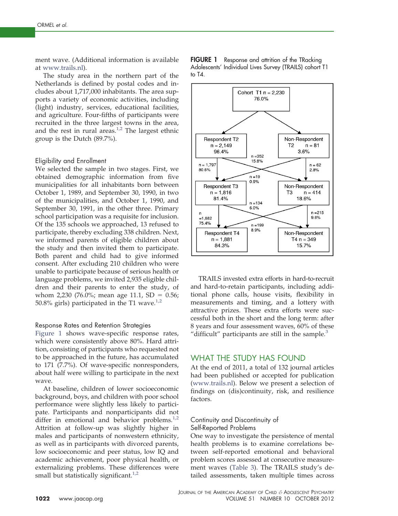ment wave. (Additional information is available at [www.trails.nl\)](http://www.trails.nl).

The study area in the northern part of the Netherlands is defined by postal codes and includes about 1,717,000 inhabitants. The area supports a variety of economic activities, including (light) industry, services, educational facilities, and agriculture. Four-fifths of participants were recruited in the three largest towns in the area, and the rest in rural areas. $1/2$  The largest ethnic group is the Dutch (89.7%).

## Eligibility and Enrollment

We selected the sample in two stages. First, we obtained demographic information from five municipalities for all inhabitants born between October 1, 1989, and September 30, 1990, in two of the municipalities, and October 1, 1990, and September 30, 1991, in the other three. Primary school participation was a requisite for inclusion. Of the 135 schools we approached, 13 refused to participate, thereby excluding 338 children. Next, we informed parents of eligible children about the study and then invited them to participate. Both parent and child had to give informed consent. After excluding 210 children who were unable to participate because of serious health or language problems, we invited 2,935 eligible children and their parents to enter the study, of whom 2,230 (76.0%; mean age 11.1, SD = 0.56; 50.8% girls) participated in the T1 wave. $1/2$ 

## Response Rates and Retention Strategies

[Figure 1](#page-2-0) shows wave-specific response rates, which were consistently above 80%. Hard attrition, consisting of participants who requested not to be approached in the future, has accumulated to 171 (7.7%). Of wave-specific nonresponders, about half were willing to participate in the next wave.

At baseline, children of lower socioeconomic background, boys, and children with poor school performance were slightly less likely to participate. Participants and nonparticipants did not differ in emotional and behavior problems. $1,2$ Attrition at follow-up was slightly higher in males and participants of nonwestern ethnicity, as well as in participants with divorced parents, low socioeconomic and peer status, low IQ and academic achievement, poor physical health, or externalizing problems. These differences were small but statistically significant. $1,2$ 

<span id="page-2-0"></span>**FIGURE 1** Response and attrition of the TRacking Adolescents' Individual Lives Survey (TRAILS) cohort T1 to T $\Lambda$ 



TRAILS invested extra efforts in hard-to-recruit and hard-to-retain participants, including additional phone calls, house visits, flexibility in measurements and timing, and a lottery with attractive prizes. These extra efforts were successful both in the short and the long term: after 8 years and four assessment waves, 60% of these "difficult" participants are still in the sample. $3$ 

# WHAT THE STUDY HAS FOUND

At the end of 2011, a total of 132 journal articles had been published or accepted for publication [\(www.trails.nl\)](http://www.trails.nl). Below we present a selection of findings on (dis)continuity, risk, and resilience factors.

# Continuity and Discontinuity of Self-Reported Problems

One way to investigate the persistence of mental health problems is to examine correlations between self-reported emotional and behavioral problem scores assessed at consecutive measurement waves [\(Table 3\)](#page-3-0). The TRAILS study's detailed assessments, taken multiple times across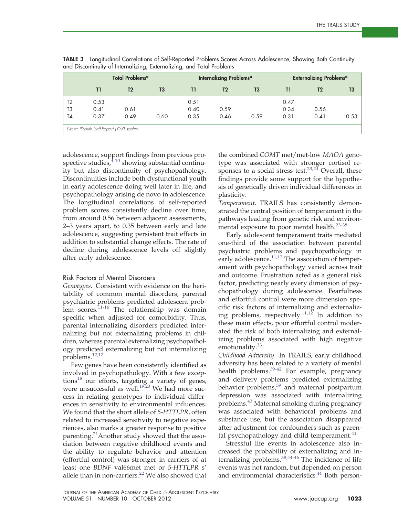|                                                    | Total Problems <sup>a</sup>                        |                |      | Internalizing Problems <sup>a</sup> |                |      |                      | <b>Externalizing Problems<sup>a</sup></b> |      |  |
|----------------------------------------------------|----------------------------------------------------|----------------|------|-------------------------------------|----------------|------|----------------------|-------------------------------------------|------|--|
|                                                    | T1                                                 | T <sub>2</sub> | T3   |                                     | T <sub>2</sub> | T3   | Τl                   | T <sub>2</sub>                            | T3   |  |
| T <sub>2</sub><br>T <sub>3</sub><br>T <sub>4</sub> | 0.53<br>0.41<br>0.37                               | 0.61<br>0.49   | 0.60 | 0.51<br>0.40<br>0.35                | 0.59<br>0.46   | 0.59 | 0.47<br>0.34<br>0.31 | 0.56<br>0.41                              | 0.53 |  |
|                                                    | Note: <sup>a</sup> Youth Self-Report (YSR) scales. |                |      |                                     |                |      |                      |                                           |      |  |

<span id="page-3-0"></span>**TABLE 3** Longitudinal Correlations of Self-Reported Problems Scores Across Adolescence, Showing Both Continuity and Discontinuity of Internalizing, Externalizing, and Total Problems

adolescence, support findings from previous prospective studies, $4^{-10}$  showing substantial continuity but also discontinuity of psychopathology. Discontinuities include both dysfunctional youth in early adolescence doing well later in life, and psychopathology arising de novo in adolescence. The longitudinal correlations of self-reported problem scores consistently decline over time, from around 0.56 between adjacent assessments, 2–3 years apart, to 0.35 between early and late adolescence, suggesting persistent trait effects in addition to substantial change effects. The rate of decline during adolescence levels off slightly after early adolescence.

# Risk Factors of Mental Disorders

*Genotypes.* Consistent with evidence on the heritability of common mental disorders, parental psychiatric problems predicted adolescent prob-lem scores.<sup>[11-16](#page-14-3)</sup> The relationship was domain specific when adjusted for comorbidity. Thus, parental internalizing disorders predicted internalizing but not externalizing problems in children, whereas parental externalizing psychopathology predicted externalizing but not internalizing problems.<sup>12,17</sup>

Few genes have been consistently identified as involved in psychopathology. With a few excep-tions<sup>[18](#page-14-5)</sup> our efforts, targeting a variety of genes, were unsuccessful as well.<sup>19,20</sup> We had more success in relating genotypes to individual differences in sensitivity to environmental influences. We found that the short allele of *5-HTTLPR*, often related to increased sensitivity to negative experiences, also marks a greater response to positive parenting.[21A](#page-15-0)nother study showed that the association between negative childhood events and the ability to regulate behavior and attention (effortful control) was stronger in carriers of at least one *BDNF* val66met met or *5-HTTLPR* s' allele than in non-carriers.<sup>[22](#page-15-1)</sup> We also showed that the combined *COMT* met/met-low *MAOA* genotype was associated with stronger cortisol re-sponses to a social stress test.<sup>[23,24](#page-15-2)</sup> Overall, these findings provide some support for the hypothesis of genetically driven individual differences in plasticity.

*Temperament.* TRAILS has consistently demonstrated the central position of temperament in the pathways leading from genetic risk and environ-mental exposure to poor mental health.<sup>[23-38](#page-15-2)</sup>

Early adolescent temperament traits mediated one-third of the association between parental psychiatric problems and psychopathology in early adolescence. $11,12$  The association of temperament with psychopathology varied across trait and outcome. Frustration acted as a general risk factor, predicting nearly every dimension of psychopathology during adolescence. Fearfulness and effortful control were more dimension specific risk factors of internalizing and externaliz-ing problems, respectively.<sup>[11,12](#page-14-3)</sup> In addition to these main effects, poor effortful control moderated the risk of both internalizing and externalizing problems associated with high negative emotionality.<sup>[33](#page-15-3)</sup>

*Childhood Adversity.* In TRAILS, early childhood adversity has been related to a variety of mental health problems.<sup>39-42</sup> For example, pregnancy and delivery problems predicted externalizing behavior problems, $39$  and maternal postpartum depression was associated with internalizing problems.[43](#page-15-5) Maternal smoking during pregnancy was associated with behavioral problems and substance use, but the association disappeared after adjustment for confounders such as parental psychopathology and child temperament. $41$ 

Stressful life events in adolescence also increased the probability of externalizing and internalizing problems. $38,44-46$  The incidence of life events was not random, but depended on person and environmental characteristics.<sup>44</sup> Both person-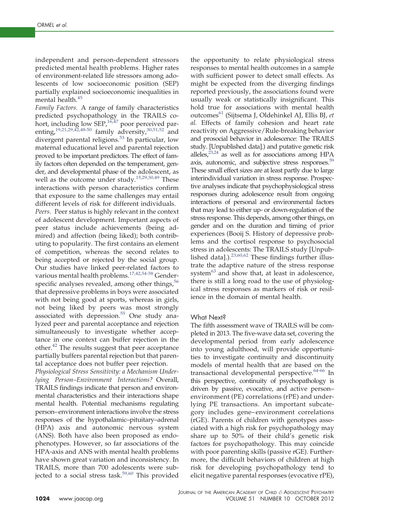independent and person-dependent stressors predicted mental health problems. Higher rates of environment-related life stressors among adolescents of low socioeconomic position (SEP) partially explained socioeconomic inequalities in mental health.<sup>[45](#page-15-9)</sup>

*Family Factors.* A range of family characteristics predicted psychopathology in the TRAILS cohort, including low SEP,<sup>16,47</sup> poor perceived par-enting,<sup>19,21,29,42,48-50</sup> family adversity,<sup>[30,51,52](#page-15-10)</sup> and divergent parental religions. $53$  In particular, low maternal educational level and parental rejection proved to be important predictors. The effect of family factors often depended on the temperament, gender, and developmental phase of the adolescent, as well as the outcome under study.<sup>15,29,30,49</sup> These interactions with person characteristics confirm that exposure to the same challenges may entail different levels of risk for different individuals.

*Peers.* Peer status is highly relevant in the context of adolescent development. Important aspects of peer status include achievements (being admired) and affection (being liked); both contributing to popularity. The first contains an element of competition, whereas the second relates to being accepted or rejected by the social group. Our studies have linked peer-related factors to various mental health problems.<sup>[17,42,54-58](#page-14-9)</sup> Genderspecific analyses revealed, among other things,  $56$ that depressive problems in boys were associated with not being good at sports, whereas in girls, not being liked by peers was most strongly associated with depression.<sup>[55](#page-15-13)</sup> One study analyzed peer and parental acceptance and rejection simultaneously to investigate whether acceptance in one context can buffer rejection in the other. $42$  The results suggest that peer acceptance partially buffers parental rejection but that parental acceptance does not buffer peer rejection.

*Physiological Stress Sensitivity: a Mechanism Underlying Person–Environment Interactions?* Overall, TRAILS findings indicate that person and environmental characteristics and their interactions shape mental health. Potential mechanisms regulating person–environment interactions involve the stress responses of the hypothalamic–pituitary–adrenal (HPA) axis and autonomic nervous system (ANS). Both have also been proposed as endophenotypes. However, so far associations of the HPA-axis and ANS with mental health problems have shown great variation and inconsistency. In TRAILS, more than 700 adolescents were subjected to a social stress task. $59,60$  This provided the opportunity to relate physiological stress responses to mental health outcomes in a sample with sufficient power to detect small effects. As might be expected from the diverging findings reported previously, the associations found were usually weak or statistically insignificant. This hold true for associations with mental health outcomes[61](#page-16-0) (Sijtsema J, Oldehinkel AJ, Ellis BJ, *et al.* Effects of family cohesion and heart rate reactivity on Aggressive/Rule-breaking behavior and prosocial behavior in adolescence: The TRAILS study. [Unpublished data].) and putative genetic risk alleles, $23,24$  as well as for associations among HPA axis, autonomic, and subjective stress responses.<sup>59</sup> These small effect sizes are at least partly due to large interindividual variation in stress response. Prospective analyses indicate that psychophysiological stress responses during adolescence result from ongoing interactions of personal and environmental factors that may lead to either up- or down-regulation of the stress response. This depends, among other things, on gender and on the duration and timing of prior experiences (Booij S. History of depressive problems and the cortisol response to psychosocial stress in adolescents: The TRAILS study [Unpublished data].). $^{23,60,62}$  These findings further illustrate the adaptive nature of the stress response system $\mathfrak{S}^3$  and show that, at least in adolescence, there is still a long road to the use of physiological stress responses as markers of risk or resilience in the domain of mental health.

## What Next?

The fifth assessment wave of TRAILS will be completed in 2013. The five-wave data set, covering the developmental period from early adolescence into young adulthood, will provide opportunities to investigate continuity and discontinuity models of mental health that are based on the transactional developmental perspective.<sup>[64-66](#page-16-2)</sup> In this perspective, continuity of psychopathology is driven by passive, evocative, and active person– environment (PE) correlations (rPE) and underlying PE transactions. An important subcategory includes gene–environment correlations (rGE). Parents of children with genotypes associated with a high risk for psychopathology may share up to 50% of their child's genetic risk factors for psychopathology. This may coincide with poor parenting skills (passive rGE). Furthermore, the difficult behaviors of children at high risk for developing psychopathology tend to elicit negative parental responses (evocative rPE),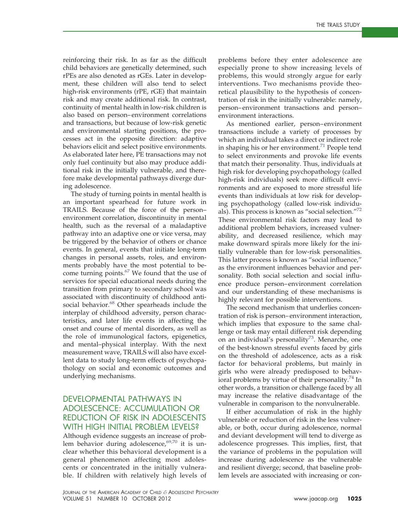reinforcing their risk. In as far as the difficult child behaviors are genetically determined, such rPEs are also denoted as rGEs. Later in development, these children will also tend to select high-risk environments (rPE, rGE) that maintain risk and may create additional risk. In contrast, continuity of mental health in low-risk children is also based on person–environment correlations and transactions, but because of low-risk genetic and environmental starting positions, the processes act in the opposite direction: adaptive behaviors elicit and select positive environments. As elaborated later here, PE transactions may not only fuel continuity but also may produce additional risk in the initially vulnerable, and therefore make developmental pathways diverge during adolescence.

The study of turning points in mental health is an important spearhead for future work in TRAILS. Because of the force of the person– environment correlation, discontinuity in mental health, such as the reversal of a maladaptive pathway into an adaptive one or vice versa, may be triggered by the behavior of others or chance events. In general, events that initiate long-term changes in personal assets, roles, and environments probably have the most potential to become turning points. $67$  We found that the use of services for special educational needs during the transition from primary to secondary school was associated with discontinuity of childhood anti-social behavior.<sup>[68](#page-16-4)</sup> Other spearheads include the interplay of childhood adversity, person characteristics, and later life events in affecting the onset and course of mental disorders, as well as the role of immunological factors, epigenetics, and mental–physical interplay. With the next measurement wave, TRAILS will also have excellent data to study long-term effects of psychopathology on social and economic outcomes and underlying mechanisms.

# DEVELOPMENTAL PATHWAYS IN ADOLESCENCE: ACCUMULATION OR REDUCTION OF RISK IN ADOLESCENTS WITH HIGH INITIAL PROBLEM LEVELS?

Although evidence suggests an increase of problem behavior during adolescence,  $69,70$  it is unclear whether this behavioral development is a general phenomenon affecting most adolescents or concentrated in the initially vulnerable. If children with relatively high levels of problems before they enter adolescence are especially prone to show increasing levels of problems, this would strongly argue for early interventions. Two mechanisms provide theoretical plausibility to the hypothesis of concentration of risk in the initially vulnerable: namely, person–environment transactions and person– environment interactions.

As mentioned earlier, person–environment transactions include a variety of processes by which an individual takes a direct or indirect role in shaping his or her environment.<sup>71</sup> People tend to select environments and provoke life events that match their personality. Thus, individuals at high risk for developing psychopathology (called high-risk individuals) seek more difficult environments and are exposed to more stressful life events than individuals at low risk for developing psychopathology (called low-risk individuals). This process is known as "social selection.["72](#page-16-7) These environmental risk factors may lead to additional problem behaviors, increased vulnerability, and decreased resilience, which may make downward spirals more likely for the initially vulnerable than for low-risk personalities. This latter process is known as "social influence," as the environment influences behavior and personality. Both social selection and social influence produce person–environment correlation and our understanding of these mechanisms is highly relevant for possible interventions.

The second mechanism that underlies concentration of risk is person–environment interaction, which implies that exposure to the same challenge or task may entail different risk depending on an individual's personality<sup>73</sup>. Menarche, one of the best-known stressful events faced by girls on the threshold of adolescence, acts as a risk factor for behavioral problems, but mainly in girls who were already predisposed to behavioral problems by virtue of their personality. $74$  In other words, a transition or challenge faced by all may increase the relative disadvantage of the vulnerable in comparison to the nonvulnerable.

If either accumulation of risk in the highly vulnerable or reduction of risk in the less vulnerable, or both, occur during adolescence, normal and deviant development will tend to diverge as adolescence progresses. This implies, first, that the variance of problems in the population will increase during adolescence as the vulnerable and resilient diverge; second, that baseline problem levels are associated with increasing or con-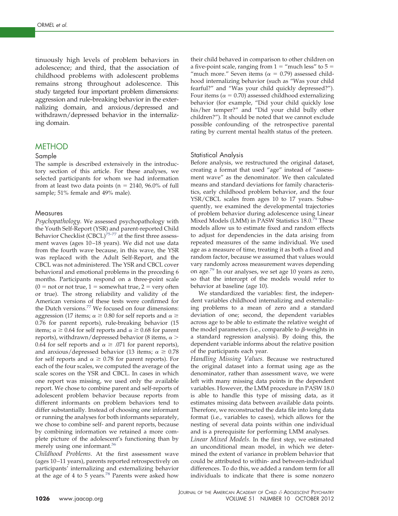tinuously high levels of problem behaviors in adolescence; and third, that the association of childhood problems with adolescent problems remains strong throughout adolescence. This study targeted four important problem dimensions: aggression and rule-breaking behavior in the externalizing domain, and anxious/depressed and withdrawn/depressed behavior in the internalizing domain.

# **METHOD**

#### Sample

The sample is described extensively in the introductory section of this article. For these analyses, we selected participants for whom we had information from at least two data points  $(n = 2140, 96.0\%$  of full sample; 51% female and 49% male).

## **Measures**

*Psychopathology.* We assessed psychopathology with the Youth Self-Report (YSR) and parent-reported Child Behavior Checklist (CBCL)<sup>[75-77](#page-16-10)</sup> at the first three assessment waves (ages 10–18 years). We did not use data from the fourth wave because, in this wave, the YSR was replaced with the Adult Self-Report, and the CBCL was not administered. The YSR and CBCL cover behavioral and emotional problems in the preceding 6 months. Participants respond on a three-point scale  $(0 = not or not true, 1 = somewhat true, 2 = very often$ or true). The strong reliability and validity of the American versions of these tests were confirmed for the Dutch versions.<sup>[77](#page-16-11)</sup> We focused on four dimensions: aggression (17 items;  $\alpha \geq 0.80$  for self reports and  $\alpha \geq$ 0.76 for parent reports), rule-breaking behavior (15 items;  $\alpha \geq 0.64$  for self reports and  $\alpha \geq 0.68$  for parent reports), withdrawn/depressed behavior (8 items,  $\alpha$  > 0.64 for self reports and  $\alpha \geq .071$  for parent reports), and anxious/depressed behavior (13 items;  $\alpha \geq 0.78$ for self reports and  $\alpha \geq 0.78$  for parent reports). For each of the four scales, we computed the average of the scale scores on the YSR and CBCL. In cases in which one report was missing, we used only the available report. We chose to combine parent and self-reports of adolescent problem behavior because reports from different informants on problem behaviors tend to differ substantially. Instead of choosing one informant or running the analyses for both informants separately, we chose to combine self- and parent reports, because by combining information we retained a more complete picture of the adolescent's functioning than by merely using one informant.<sup>36</sup>

*Childhood Problems.* At the first assessment wave (ages 10–11 years), parents reported retrospectively on participants' internalizing and externalizing behavior at the age of 4 to 5 years.<sup>[78](#page-16-12)</sup> Parents were asked how

their child behaved in comparison to other children on a five-point scale, ranging from  $1 =$  "much less" to  $5 =$ "much more." Seven items ( $\alpha = 0.79$ ) assessed childhood internalizing behavior (such as "Was your child fearful?" and "Was your child quickly depressed?"). Four items ( $\alpha = 0.70$ ) assessed childhood externalizing behavior (for example, "Did your child quickly lose his/her temper?" and "Did your child bully other children?"). It should be noted that we cannot exclude possible confounding of the retrospective parental rating by current mental health status of the preteen.

### Statistical Analysis

Before analysis, we restructured the original dataset, creating a format that used "age" instead of "assessment wave" as the denominator. We then calculated means and standard deviations for family characteristics, early childhood problem behavior, and the four YSR/CBCL scales from ages 10 to 17 years. Subsequently, we examined the developmental trajectories of problem behavior during adolescence using Linear Mixed Models (LMM) in PASW Statistics 18.0.<sup>[79](#page-16-13)</sup> These models allow us to estimate fixed and random effects to adjust for dependencies in the data arising from repeated measures of the same individual. We used age as a measure of time, treating it as both a fixed and random factor, because we assumed that values would vary randomly across measurement waves depending on age.[79](#page-16-13) In our analyses, we set age 10 years as zero, so that the intercept of the models would refer to behavior at baseline (age 10).

We standardized the variables: first, the independent variables childhood internalizing and externalizing problems to a mean of zero and a standard deviation of one; second, the dependent variables across age to be able to estimate the relative weight of the model parameters (i.e., comparable to  $\beta$ -weights in a standard regression analysis). By doing this, the dependent variable informs about the relative position of the participants each year.

*Handling Missing Values.* Because we restructured the original dataset into a format using age as the denominator, rather than assessment wave, we were left with many missing data points in the dependent variables. However, the LMM procedure in PASW 18.0 is able to handle this type of missing data, as it estimates missing data between available data points. Therefore, we reconstructed the data file into long data format (i.e., variables to cases), which allows for the nesting of several data points within one individual and is a prerequisite for performing LMM analyses.

*Linear Mixed Models.* In the first step, we estimated an unconditional mean model, in which we determined the extent of variance in problem behavior that could be attributed to within- and between-individual differences. To do this, we added a random term for all individuals to indicate that there is some nonzero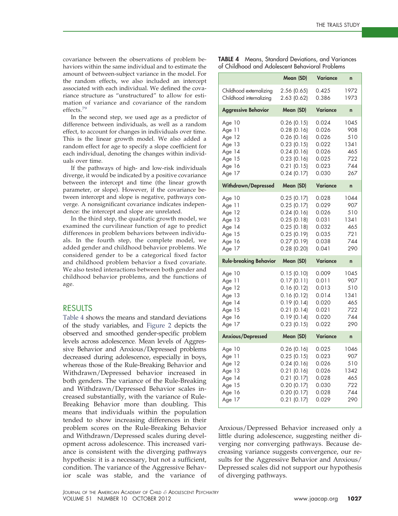covariance between the observations of problem behaviors within the same individual and to estimate the amount of between-subject variance in the model. For the random effects, we also included an intercept associated with each individual. We defined the covariance structure as "unstructured" to allow for estimation of variance and covariance of the random effects.<sup>[79](#page-16-13)</sup>

In the second step, we used age as a predictor of difference between individuals, as well as a random effect, to account for changes in individuals over time. This is the linear growth model. We also added a random effect for age to specify a slope coefficient for each individual, denoting the changes within individuals over time.

If the pathways of high- and low-risk individuals diverge, it would be indicated by a positive covariance between the intercept and time (the linear growth parameter, or slope). However, if the covariance between intercept and slope is negative, pathways converge. A nonsignificant covariance indicates independence: the intercept and slope are unrelated.

In the third step, the quadratic growth model, we examined the curvilinear function of age to predict differences in problem behaviors between individuals. In the fourth step, the complete model, we added gender and childhood behavior problems. We considered gender to be a categorical fixed factor and childhood problem behavior a fixed covariate. We also tested interactions between both gender and childhood behavior problems, and the functions of age.

# **RESULTS**

[Table 4](#page-7-0) shows the means and standard deviations of the study variables, and [Figure 2](#page-8-0) depicts the observed and smoothed gender-specific problem levels across adolescence. Mean levels of Aggressive Behavior and Anxious/Depressed problems decreased during adolescence, especially in boys, whereas those of the Rule-Breaking Behavior and Withdrawn/Depressed behavior increased in both genders. The variance of the Rule-Breaking and Withdrawn/Depressed Behavior scales increased substantially, with the variance of Rule-Breaking Behavior more than doubling. This means that individuals within the population tended to show increasing differences in their problem scores on the Rule-Breaking Behavior and Withdrawn/Depressed scales during development across adolescence. This increased variance is consistent with the diverging pathways hypothesis: it is a necessary, but not a sufficient, condition. The variance of the Aggressive Behavior scale was stable, and the variance of <span id="page-7-0"></span>**TABLE 4** Means, Standard Deviations, and Variances of Childhood and Adolescent Behavioral Problems

|                               | Mean (SD)       | <b>Variance</b> | $\mathbf n$ |
|-------------------------------|-----------------|-----------------|-------------|
| Childhood externalizing       | 2.56 (0.65)     | 0.425           | 1972        |
| Childhood internalizing       | 2.63 (0.62)     | 0.386           | 1973        |
| <b>Aggressive Behavior</b>    | Mean (SD)       | <b>Variance</b> | n           |
| Age 10                        | $0.26$ $(0.15)$ | 0.024           | 1045        |
| Age 11                        | $0.28$ $(0.16)$ | 0.026           | 908         |
| Age 12                        | $0.26$ $(0.16)$ | 0.026           | 510         |
| Age 13                        | $0.23$ $(0.15)$ | 0.022           | 1341        |
| Age 14                        | $0.24$ (0.16)   | 0.026           | 465         |
| Age 15                        | $0.23$ $(0.16)$ | 0.025           | 722         |
| Age 16                        | $0.21$ (0.15)   | 0.023           | 744         |
| Age 17                        | 0.24(0.17)      | 0.030           | 267         |
| Withdrawn/Depressed           | Mean (SD)       | <b>Variance</b> | n           |
| Age 10                        | $0.25$ $(0.17)$ | 0.028           | 1044        |
| Age 11                        | 0.25(0.17)      | 0.029           | 907         |
| Age 12                        | $0.24$ (0.16)   | 0.026           | 510         |
| Age 13                        | 0.25(0.18)      | 0.031           | 1341        |
| Age 14                        | $0.25$ (0.18)   | 0.032           | 465         |
| Age 15                        | 0.25(0.19)      | 0.035           | 721         |
| Age 16                        | $0.27$ (0.19)   | 0.038           | 744         |
| Age 17                        | $0.28$ (0.20)   | 0.041           | 290         |
| <b>Rule-breaking Behavior</b> | Mean (SD)       | <b>Variance</b> | n           |
| Age 10                        | 0.15(0.10)      | 0.009           | 1045        |
| Age 11                        | 0.17(0.11)      | 0.011           | 907         |
| Age 12                        | 0.16(0.12)      | 0.013           | 510         |
| Age 13                        | 0.16(0.12)      | 0.014           | 1341        |
| Age 14                        | 0.19(0.14)      | 0.020           | 465         |
| Age 15                        | $0.21$ (0.14)   | 0.021           | 722         |
| Age 16                        | 0.19(0.14)      | 0.020           | 744         |
| Age 17                        | $0.23$ $(0.15)$ | 0.022           | 290         |
| <b>Anxious/Depressed</b>      | Mean (SD)       | Variance        | n           |
| Age 10                        | $0.26$ (0.16)   | 0.025           | 1046        |
| Age 11                        | $0.25$ (0.15)   | 0.023           | 907         |
| Age 12                        | $0.24$ $(0.16)$ | 0.026           | 510         |
| Age 13                        | $0.21$ (0.16)   | 0.026           | 1342        |
| Age 14                        | $0.21$ (0.17)   | 0.028           | 465         |
| Age 15                        | 0.20(0.17)      | 0.030           | 722         |
| Age 16                        | 0.20(0.17)      | 0.028           | 744         |
| Age 17                        | $0.21$ (0.17)   | 0.029           | 290         |

Anxious/Depressed Behavior increased only a little during adolescence, suggesting neither diverging nor converging pathways. Because decreasing variance suggests convergence, our results for the Aggressive Behavior and Anxious/ Depressed scales did not support our hypothesis of diverging pathways.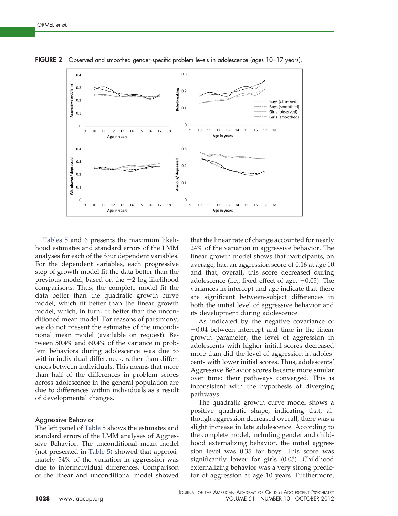

<span id="page-8-0"></span>**FIGURE 2** Observed and smoothed gender-specific problem levels in adolescence (ages 10-17 years).

[Tables 5](#page-9-0) and [6](#page-10-0) presents the maximum likelihood estimates and standard errors of the LMM analyses for each of the four dependent variables. For the dependent variables, each progressive step of growth model fit the data better than the previous model, based on the  $-2$  log-likelihood comparisons. Thus, the complete model fit the data better than the quadratic growth curve model, which fit better than the linear growth model, which, in turn, fit better than the unconditioned mean model. For reasons of parsimony, we do not present the estimates of the unconditional mean model (available on request). Between 50.4% and 60.4% of the variance in problem behaviors during adolescence was due to within-individual differences, rather than differences between individuals. This means that more than half of the differences in problem scores across adolescence in the general population are due to differences within individuals as a result of developmental changes.

#### Aggressive Behavior

The left panel of [Table 5](#page-9-0) shows the estimates and standard errors of the LMM analyses of Aggressive Behavior. The unconditional mean model (not presented in [Table 5\)](#page-9-0) showed that approximately 54% of the variation in aggression was due to interindividual differences. Comparison of the linear and unconditional model showed

that the linear rate of change accounted for nearly 24% of the variation in aggressive behavior. The linear growth model shows that participants, on average, had an aggression score of 0.16 at age 10 and that, overall, this score decreased during adolescence (i.e., fixed effect of age,  $-0.05$ ). The variances in intercept and age indicate that there are significant between-subject differences in both the initial level of aggressive behavior and its development during adolescence.

As indicated by the negative covariance of  $-0.04$  between intercept and time in the linear growth parameter, the level of aggression in adolescents with higher initial scores decreased more than did the level of aggression in adolescents with lower initial scores. Thus, adolescents' Aggressive Behavior scores became more similar over time: their pathways converged. This is inconsistent with the hypothesis of diverging pathways.

The quadratic growth curve model shows a positive quadratic shape, indicating that, although aggression decreased overall, there was a slight increase in late adolescence. According to the complete model, including gender and childhood externalizing behavior, the initial aggression level was 0.35 for boys. This score was significantly lower for girls (0.05). Childhood externalizing behavior was a very strong predictor of aggression at age 10 years. Furthermore,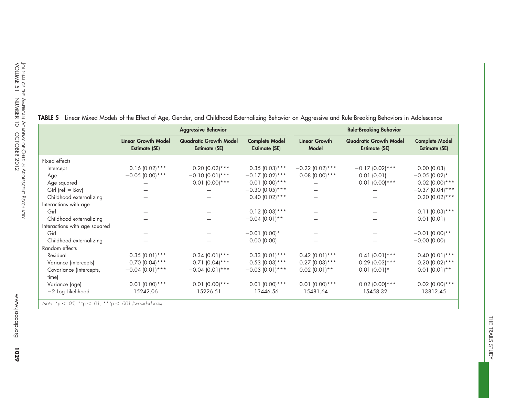|                                                                                                                                                                                                                                                                                                             | <b>Aggressive Behavior</b>                         |                                                       |                                               | <b>Rule-Breaking Behavior</b> |                                                       |                                               |  |
|-------------------------------------------------------------------------------------------------------------------------------------------------------------------------------------------------------------------------------------------------------------------------------------------------------------|----------------------------------------------------|-------------------------------------------------------|-----------------------------------------------|-------------------------------|-------------------------------------------------------|-----------------------------------------------|--|
|                                                                                                                                                                                                                                                                                                             | <b>Linear Growth Model</b><br><b>Estimate (SE)</b> | <b>Quadratic Growth Model</b><br><b>Estimate (SE)</b> | <b>Complete Model</b><br><b>Estimate (SE)</b> | <b>Linear Growth</b><br>Model | <b>Quadratic Growth Model</b><br><b>Estimate (SE)</b> | <b>Complete Model</b><br><b>Estimate (SE)</b> |  |
| Fixed effects                                                                                                                                                                                                                                                                                               |                                                    |                                                       |                                               |                               |                                                       |                                               |  |
| Intercept                                                                                                                                                                                                                                                                                                   | $0.16(0.02)***$                                    | $0.20(0.02)****$                                      | $0.35(0.03)$ ***                              | $-0.22$ (0.02)***             | $-0.17$ (0.02)***                                     | 0.00(0.03)                                    |  |
| Age                                                                                                                                                                                                                                                                                                         | $-0.05$ (0.00)***                                  | $-0.10(0.01)$ ***                                     | $-0.17(0.02)$ ***                             | $0.08$ $(0.00)***$            | 0.01(0.01)                                            | $-0.05$ (0.02)*                               |  |
| Age squared                                                                                                                                                                                                                                                                                                 |                                                    | $0.01$ $(0.00)***$                                    | $0.01$ (0.00)***                              |                               | $0.01$ $(0.00)***$                                    | $0.02$ (0.00)***                              |  |
| Girl (ref $=$ Boy)                                                                                                                                                                                                                                                                                          |                                                    |                                                       | $-0.30$ (0.05)***                             |                               |                                                       | $-0.37$ (0.04)***                             |  |
| Childhood externalizing                                                                                                                                                                                                                                                                                     |                                                    |                                                       | $0.40(0.02)$ ***                              |                               |                                                       | $0.20(0.02)$ ***                              |  |
| Interactions with age                                                                                                                                                                                                                                                                                       |                                                    |                                                       |                                               |                               |                                                       |                                               |  |
| Girl                                                                                                                                                                                                                                                                                                        |                                                    |                                                       | $0.12$ $(0.03)$ ***                           |                               |                                                       | $0.11(0.03)***$                               |  |
| Childhood externalizing                                                                                                                                                                                                                                                                                     |                                                    |                                                       | $-0.04(0.01)$ **                              |                               |                                                       | 0.01(0.01)                                    |  |
| Interactions with age squared                                                                                                                                                                                                                                                                               |                                                    |                                                       |                                               |                               |                                                       |                                               |  |
| Girl                                                                                                                                                                                                                                                                                                        |                                                    |                                                       | $-0.01$ (0.00)*                               |                               |                                                       | $-0.01$ (0.00)**                              |  |
| Childhood externalizing                                                                                                                                                                                                                                                                                     |                                                    |                                                       | $0.00$ $(0.00)$                               |                               |                                                       | $-0.00$ (0.00)                                |  |
| Random effects                                                                                                                                                                                                                                                                                              |                                                    |                                                       |                                               |                               |                                                       |                                               |  |
| Residual                                                                                                                                                                                                                                                                                                    | $0.35(0.01)***$                                    | $0.34(0.01)***$                                       | $0.33$ $(0.01)$ ***                           | $0.42$ $(0.01)$ ***           | $0.41 (0.01)$ ***                                     | $0.40(0.01)$ ***                              |  |
| Variance (intercepts)                                                                                                                                                                                                                                                                                       | $0.70$ $(0.04)$ ***                                | $0.71(0.04)$ ***                                      | $0.53$ (0.03)***                              | $0.27$ (0.03)***              | $0.29$ $(0.03)***$                                    | $0.20$ $(0.02)$ ***                           |  |
| Covariance (intercepts,                                                                                                                                                                                                                                                                                     | $-0.04$ (0.01)***                                  | $-0.04$ (0.01)***                                     | $-0.03(0.01)$ ***                             | $0.02$ $(0.01)$ **            | $0.01(0.01)^*$                                        | $0.01(0.01)$ **                               |  |
| time)                                                                                                                                                                                                                                                                                                       |                                                    |                                                       |                                               |                               |                                                       |                                               |  |
| Variance (age)                                                                                                                                                                                                                                                                                              | $0.01$ $(0.00)***$                                 | $0.01$ $(0.00)***$                                    | $0.01$ (0.00)***                              | $0.01$ $(0.00)***$            | $0.02$ $(0.00)***$                                    | $0.02$ $(0.00)***$                            |  |
| $-2$ Log Likelihood                                                                                                                                                                                                                                                                                         | 15242.06                                           | 15226.51                                              | 13446.56                                      | 15481.64                      | 15458.32                                              | 13812.45                                      |  |
| $\mathbf{v}$ , $\mathbf{v}$ , $\mathbf{v}$ , $\mathbf{v}$ , $\mathbf{v}$ , $\mathbf{v}$ , $\mathbf{v}$ , $\mathbf{v}$ , $\mathbf{v}$ , $\mathbf{v}$ , $\mathbf{v}$ , $\mathbf{v}$ , $\mathbf{v}$ , $\mathbf{v}$ , $\mathbf{v}$ , $\mathbf{v}$ , $\mathbf{v}$ , $\mathbf{v}$ , $\mathbf{v}$ , $\mathbf{v}$ , |                                                    |                                                       |                                               |                               |                                                       |                                               |  |

|  | TABLE 5 Linear Mixed Models of the Effect of Age, Gender, and Childhood Externalizing Behavior on Aggressive and Rule-Breaking Behaviors in Adolescence |  |  |  |  |  |
|--|---------------------------------------------------------------------------------------------------------------------------------------------------------|--|--|--|--|--|
|--|---------------------------------------------------------------------------------------------------------------------------------------------------------|--|--|--|--|--|

<span id="page-9-0"></span>*Note: \**<sup>p</sup> *.05, \*\**<sup>p</sup> *.01, \*\*\**<sup>p</sup> *.001 (two-sided tests).*

THE TRAILS STUDY

THE TRAILS STUDY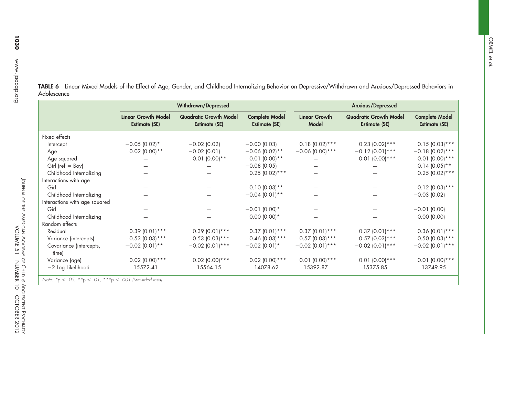|                               | Withdrawn/Depressed                                |                                                       |                                               | Anxious/Depressed             |                                                       |                                               |  |
|-------------------------------|----------------------------------------------------|-------------------------------------------------------|-----------------------------------------------|-------------------------------|-------------------------------------------------------|-----------------------------------------------|--|
|                               | <b>Linear Growth Model</b><br><b>Estimate (SE)</b> | <b>Quadratic Growth Model</b><br><b>Estimate (SE)</b> | <b>Complete Model</b><br><b>Estimate (SE)</b> | <b>Linear Growth</b><br>Model | <b>Quadratic Growth Model</b><br><b>Estimate (SE)</b> | <b>Complete Model</b><br><b>Estimate (SE)</b> |  |
| Fixed effects                 |                                                    |                                                       |                                               |                               |                                                       |                                               |  |
| Intercept                     | $-0.05$ (0.02)*                                    | $-0.02$ (0.02)                                        | $-0.00$ (0.03)                                | $0.18(0.02)***$               | $0.23$ $(0.02)$ ***                                   | $0.15(0.03)***$                               |  |
| Age                           | $0.02$ (0.00)**                                    | $-0.02$ (0.01)                                        | $-0.06$ (0.02)**                              | $-0.06$ (0.00)***             | $-0.12(0.01***$                                       | $-0.18(0.02)$ ***                             |  |
| Age squared                   |                                                    | $0.01$ $(0.00)**$                                     | $0.01$ $(0.00)**$                             |                               | $0.01$ $(0.00)***$                                    | $0.01$ (0.00)***                              |  |
| Girl (ref $=$ Boy)            |                                                    |                                                       | $-0.08$ (0.05)                                |                               |                                                       | $0.14(0.05)$ **                               |  |
| Childhood Internalizing       |                                                    |                                                       | $0.25$ $(0.02)$ ***                           |                               |                                                       | $0.25(0.02)$ ***                              |  |
| Interactions with age         |                                                    |                                                       |                                               |                               |                                                       |                                               |  |
| Girl                          |                                                    |                                                       | $0.10(0.03)$ **                               |                               |                                                       | $0.12(0.03)***$                               |  |
| Childhood Internalizing       |                                                    |                                                       | $-0.04(0.01)$ **                              |                               |                                                       | $-0.03$ (0.02)                                |  |
| Interactions with age squared |                                                    |                                                       |                                               |                               |                                                       |                                               |  |
| Girl                          |                                                    |                                                       | $-0.01$ (0.00)*                               |                               |                                                       | $-0.01$ (0.00)                                |  |
| Childhood Internalizing       |                                                    |                                                       | $0.00$ $(0.00)*$                              |                               |                                                       | $0.00$ $(0.00)$                               |  |
| Random effects                |                                                    |                                                       |                                               |                               |                                                       |                                               |  |
| Residual                      | $0.39(0.01)$ ***                                   | $0.39(0.01)$ ***                                      | $0.37(0.01)$ ***                              | $0.37(0.01)$ ***              | $0.37$ $(0.01)$ ***                                   | $0.36(0.01)$ ***                              |  |
| Variance (intercepts)         | $0.53$ $(0.03)$ ***                                | $0.53$ $(0.03)$ ***                                   | $0.46$ (0.03)***                              | $0.57$ $(0.03)$ ***           | $0.57$ $(0.03)$ ***                                   | $0.50$ $(0.03)***$                            |  |
| Covariance (intercepts,       | $-0.02$ (0.01)**                                   | $-0.02$ (0.01)***                                     | $-0.02$ (0.01)*                               | $-0.02$ (0.01)***             | $-0.02$ (0.01)***                                     | $-0.02$ (0.01)***                             |  |
| time)                         |                                                    |                                                       |                                               |                               |                                                       |                                               |  |
| Variance (age)                | $0.02$ $(0.00)***$                                 | $0.02$ $(0.00)***$                                    | $0.02$ (0.00)***                              | $0.01$ $(0.00)***$            | $0.01$ $(0.00)***$                                    | $0.01$ $(0.00)***$                            |  |
| -2 Log Likelihood             | 15572.41                                           | 15564.15                                              | 14078.62                                      | 15392.87                      | 15375.85                                              | 13749.95                                      |  |

**TABLE 6** Linear Mixed Models of the Effect of Age, Gender, and Childhood Internalizing Behavior on Depressive/Withdrawn and Anxious/Depressed Behaviors in Adolescence

<span id="page-10-0"></span>*Note: \**<sup>p</sup> *.05, \*\**<sup>p</sup> *.01, \*\*\**<sup>p</sup> *.001 (two-sided tests).*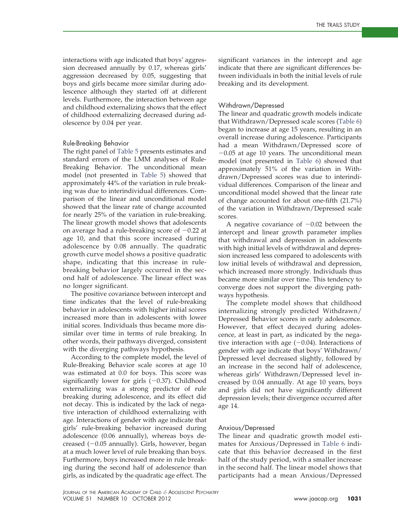interactions with age indicated that boys' aggression decreased annually by 0.17, whereas girls' aggression decreased by 0.05, suggesting that boys and girls became more similar during adolescence although they started off at different levels. Furthermore, the interaction between age and childhood externalizing shows that the effect of childhood externalizing decreased during adolescence by 0.04 per year.

## Rule-Breaking Behavior

The right panel of [Table 5](#page-9-0) presents estimates and standard errors of the LMM analyses of Rule-Breaking Behavior. The unconditional mean model (not presented in [Table 5\)](#page-9-0) showed that approximately 44% of the variation in rule breaking was due to interindividual differences. Comparison of the linear and unconditional model showed that the linear rate of change accounted for nearly 25% of the variation in rule-breaking. The linear growth model shows that adolescents on average had a rule-breaking score of  $-0.22$  at age 10, and that this score increased during adolescence by 0.08 annually. The quadratic growth curve model shows a positive quadratic shape, indicating that this increase in rulebreaking behavior largely occurred in the second half of adolescence. The linear effect was no longer significant.

The positive covariance between intercept and time indicates that the level of rule-breaking behavior in adolescents with higher initial scores increased more than in adolescents with lower initial scores. Individuals thus became more dissimilar over time in terms of rule breaking. In other words, their pathways diverged, consistent with the diverging pathways hypothesis.

According to the complete model, the level of Rule-Breaking Behavior scale scores at age 10 was estimated at 0.0 for boys. This score was significantly lower for girls  $(-0.37)$ . Childhood externalizing was a strong predictor of rule breaking during adolescence, and its effect did not decay. This is indicated by the lack of negative interaction of childhood externalizing with age. Interactions of gender with age indicate that girls' rule-breaking behavior increased during adolescence (0.06 annually), whereas boys decreased  $(-0.05$  annually). Girls, however, began at a much lower level of rule breaking than boys. Furthermore, boys increased more in rule breaking during the second half of adolescence than girls, as indicated by the quadratic age effect. The

significant variances in the intercept and age indicate that there are significant differences between individuals in both the initial levels of rule breaking and its development.

## Withdrawn/Depressed

The linear and quadratic growth models indicate that Withdrawn/Depressed scale scores [\(Table 6\)](#page-10-0) began to increase at age 15 years, resulting in an overall increase during adolescence. Participants had a mean Withdrawn/Depressed score of  $-0.05$  at age 10 years. The unconditional mean model (not presented in [Table 6\)](#page-10-0) showed that approximately 51% of the variation in Withdrawn/Depressed scores was due to interindividual differences. Comparison of the linear and unconditional model showed that the linear rate of change accounted for about one-fifth (21.7%) of the variation in Withdrawn/Depressed scale scores.

A negative covariance of  $-0.02$  between the intercept and linear growth parameter implies that withdrawal and depression in adolescents with high initial levels of withdrawal and depression increased less compared to adolescents with low initial levels of withdrawal and depression, which increased more strongly. Individuals thus became more similar over time. This tendency to converge does not support the diverging pathways hypothesis.

The complete model shows that childhood internalizing strongly predicted Withdrawn/ Depressed Behavior scores in early adolescence. However, that effect decayed during adolescence, at least in part, as indicated by the negative interaction with age  $(-0.04)$ . Interactions of gender with age indicate that boys' Withdrawn/ Depressed level decreased slightly, followed by an increase in the second half of adolescence, whereas girls' Withdrawn/Depressed level increased by 0.04 annually. At age 10 years, boys and girls did not have significantly different depression levels; their divergence occurred after age 14.

## Anxious/Depressed

The linear and quadratic growth model estimates for Anxious/Depressed in [Table 6](#page-10-0) indicate that this behavior decreased in the first half of the study period, with a smaller increase in the second half. The linear model shows that participants had a mean Anxious/Depressed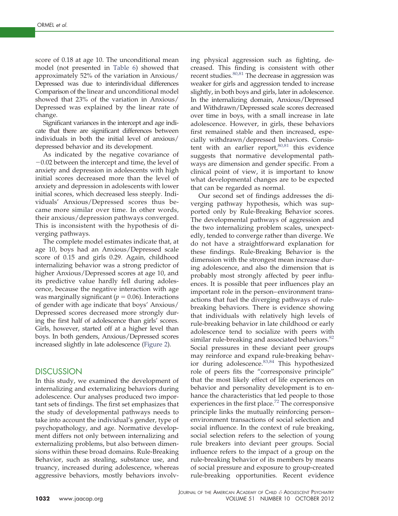score of 0.18 at age 10. The unconditional mean model (not presented in [Table 6\)](#page-10-0) showed that approximately 52% of the variation in Anxious/ Depressed was due to interindividual differences Comparison of the linear and unconditional model showed that 23% of the variation in Anxious/ Depressed was explained by the linear rate of change.

Significant variances in the intercept and age indicate that there are significant differences between individuals in both the initial level of anxious/ depressed behavior and its development.

As indicated by the negative covariance of  $-0.02$  between the intercept and time, the level of anxiety and depression in adolescents with high initial scores decreased more than the level of anxiety and depression in adolescents with lower initial scores, which decreased less steeply. Individuals' Anxious/Depressed scores thus became more similar over time. In other words, their anxious/depression pathways converged. This is inconsistent with the hypothesis of diverging pathways.

The complete model estimates indicate that, at age 10, boys had an Anxious/Depressed scale score of 0.15 and girls 0.29. Again, childhood internalizing behavior was a strong predictor of higher Anxious/Depressed scores at age 10, and its predictive value hardly fell during adolescence, because the negative interaction with age was marginally significant  $(p = 0.06)$ . Interactions of gender with age indicate that boys' Anxious/ Depressed scores decreased more strongly during the first half of adolescence than girls' scores. Girls, however, started off at a higher level than boys. In both genders, Anxious/Depressed scores increased slightly in late adolescence [\(Figure 2\)](#page-8-0).

# **DISCUSSION**

In this study, we examined the development of internalizing and externalizing behaviors during adolescence. Our analyses produced two important sets of findings. The first set emphasizes that the study of developmental pathways needs to take into account the individual's gender, type of psychopathology, and age. Normative development differs not only between internalizing and externalizing problems, but also between dimensions within these broad domains. Rule-Breaking Behavior, such as stealing, substance use, and truancy, increased during adolescence, whereas aggressive behaviors, mostly behaviors involving physical aggression such as fighting, decreased. This finding is consistent with other recent studies. $80,81$  The decrease in aggression was weaker for girls and aggression tended to increase slightly, in both boys and girls, later in adolescence. In the internalizing domain, Anxious/Depressed and Withdrawn/Depressed scale scores decreased over time in boys, with a small increase in late adolescence. However, in girls, these behaviors first remained stable and then increased, especially withdrawn/depressed behaviors. Consistent with an earlier report,  $80,81$  this evidence suggests that normative developmental pathways are dimension and gender specific. From a clinical point of view, it is important to know what developmental changes are to be expected that can be regarded as normal.

Our second set of findings addresses the diverging pathway hypothesis, which was supported only by Rule-Breaking Behavior scores. The developmental pathways of aggression and the two internalizing problem scales, unexpectedly, tended to converge rather than diverge. We do not have a straightforward explanation for these findings. Rule-Breaking Behavior is the dimension with the strongest mean increase during adolescence, and also the dimension that is probably most strongly affected by peer influences. It is possible that peer influences play an important role in the person–environment transactions that fuel the diverging pathways of rulebreaking behaviors. There is evidence showing that individuals with relatively high levels of rule-breaking behavior in late childhood or early adolescence tend to socialize with peers with similar rule-breaking and associated behaviors.<sup>[82](#page-16-15)</sup> Social pressures in these deviant peer groups may reinforce and expand rule-breaking behavior during adolescence. $83,84$  This hypothesized role of peers fits the "corresponsive principle" that the most likely effect of life experiences on behavior and personality development is to enhance the characteristics that led people to those experiences in the first place.<sup>[72](#page-16-7)</sup> The corresponsive principle links the mutually reinforcing person– environment transactions of social selection and social influence. In the context of rule breaking, social selection refers to the selection of young rule breakers into deviant peer groups. Social influence refers to the impact of a group on the rule-breaking behavior of its members by means of social pressure and exposure to group-created rule-breaking opportunities. Recent evidence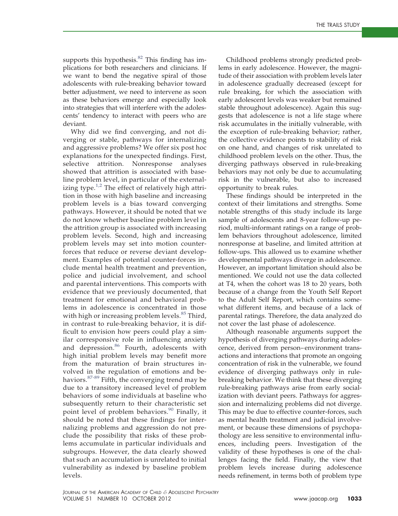supports this hypothesis. $82$  This finding has implications for both researchers and clinicians. If we want to bend the negative spiral of those adolescents with rule-breaking behavior toward better adjustment, we need to intervene as soon as these behaviors emerge and especially look into strategies that will interfere with the adolescents' tendency to interact with peers who are deviant.

Why did we find converging, and not diverging or stable, pathways for internalizing and aggressive problems? We offer six post hoc explanations for the unexpected findings. First, selective attrition. Nonresponse analyses showed that attrition is associated with baseline problem level, in particular of the externalizing type. $1,2$  The effect of relatively high attrition in those with high baseline and increasing problem levels is a bias toward converging pathways. However, it should be noted that we do not know whether baseline problem level in the attrition group is associated with increasing problem levels. Second, high and increasing problem levels may set into motion counterforces that reduce or reverse deviant development. Examples of potential counter-forces include mental health treatment and prevention, police and judicial involvement, and school and parental interventions. This comports with evidence that we previously documented, that treatment for emotional and behavioral problems in adolescence is concentrated in those with high or increasing problem levels.<sup>[85](#page-16-17)</sup> Third, in contrast to rule-breaking behavior, it is difficult to envision how peers could play a similar corresponsive role in influencing anxiety and depression.<sup>[86](#page-16-18)</sup> Fourth, adolescents with high initial problem levels may benefit more from the maturation of brain structures involved in the regulation of emotions and be-haviors.<sup>[87-89](#page-16-19)</sup> Fifth, the converging trend may be due to a transitory increased level of problem behaviors of some individuals at baseline who subsequently return to their characteristic set point level of problem behaviors.<sup>[90](#page-16-20)</sup> Finally, it should be noted that these findings for internalizing problems and aggression do not preclude the possibility that risks of these problems accumulate in particular individuals and subgroups. However, the data clearly showed that such an accumulation is unrelated to initial vulnerability as indexed by baseline problem levels.

Childhood problems strongly predicted problems in early adolescence. However, the magnitude of their association with problem levels later in adolescence gradually decreased (except for rule breaking, for which the association with early adolescent levels was weaker but remained stable throughout adolescence). Again this suggests that adolescence is not a life stage where risk accumulates in the initially vulnerable, with the exception of rule-breaking behavior; rather, the collective evidence points to stability of risk on one hand, and changes of risk unrelated to childhood problem levels on the other. Thus, the diverging pathways observed in rule-breaking behaviors may not only be due to accumulating risk in the vulnerable, but also to increased opportunity to break rules.

These findings should be interpreted in the context of their limitations and strengths. Some notable strengths of this study include its large sample of adolescents and 8-year follow-up period, multi-informant ratings on a range of problem behaviors throughout adolescence, limited nonresponse at baseline, and limited attrition at follow-ups. This allowed us to examine whether developmental pathways diverge in adolescence. However, an important limitation should also be mentioned. We could not use the data collected at T4, when the cohort was 18 to 20 years, both because of a change from the Youth Self Report to the Adult Self Report, which contains somewhat different items, and because of a lack of parental ratings. Therefore, the data analyzed do not cover the last phase of adolescence.

Although reasonable arguments support the hypothesis of diverging pathways during adolescence, derived from person–environment transactions and interactions that promote an ongoing concentration of risk in the vulnerable, we found evidence of diverging pathways only in rulebreaking behavior. We think that these diverging rule-breaking pathways arise from early socialization with deviant peers. Pathways for aggression and internalizing problems did not diverge. This may be due to effective counter-forces, such as mental health treatment and judicial involvement, or because these dimensions of psychopathology are less sensitive to environmental influences, including peers. Investigation of the validity of these hypotheses is one of the challenges facing the field. Finally, the view that problem levels increase during adolescence needs refinement, in terms both of problem type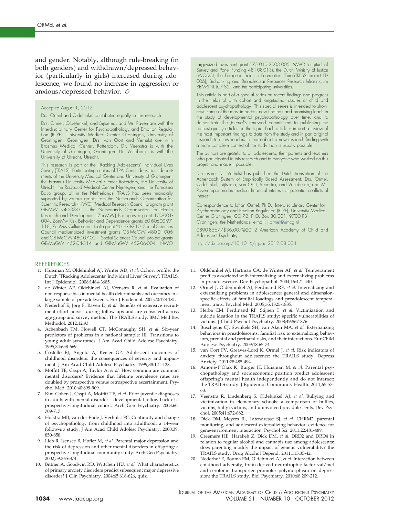and gender. Notably, although rule-breaking (in both genders) and withdrawn/depressed behavior (particularly in girls) increased during adolescence, we found no increase in aggression or anxious/depressed behavior. *&*

#### Accepted August 1, 2012.

Drs. Ormel and Oldehinkel contributed equally to this research.

Drs. Ormel, Oldehinkel, and Sijtsema, and Mr. Raven are with the Interdisciplinary Center for Psychopathology and Emotion Regulation (ICPE), University Medical Center Groningen, University of Groningen, Groningen. Drs. van Oort and Verhulst are with Erasmus Medical Center, Rotterdam. Dr. Veenstra is with the University of Groningen, Groningen. Dr. Vollebergh is with the University of Utrecht, Utrecht.

This research is part of the TRacking Adolescents' Individual Lives Survey (TRAILS). Participating centers of TRAILS include various departments of the University Medical Center and University of Groningen, the Erasmus University Medical Center Rotterdam, the University of Utrecht, the Radboud Medical Center Nijmegen, and the Parnassia Bavo group, all in the Netherlands. TRAILS has been financially supported by various grants from the Netherlands Organization for Scientific Research (NWO) (Medical Research Council program grant GB-MW 940-38-011, the Netherlands Organisation for Health Research and Development [ZonMW] Brainpower grant 100-001- 004, ZonMw Risk Behavior and Dependence grants 60-60600-97- 118, ZonMw Culture and Health grant 261-98-710, Social Sciences Council medium-sized investment grants GB-MaGW 480-01-006 and GB-MaGW 480-07-001, Social Sciences Council project grants GB-MaGW 452-04-314 and GB-MaGW 452-06-004, NWO

#### <span id="page-14-0"></span>REFERENCES

- 1. Huisman M, Oldehinkel AJ, Winter AD, *et al.* Cohort profile: the Dutch 'TRacking Adolescents' Individual Lives' Survey'; TRAILS. Int J Epidemiol. 2008;1464-3685.
- 2. de Winter AF, Oldehinkel AJ, Veenstra R, *et al.* Evaluation of non-response bias in mental health determinants and outcomes in a large sample of pre-adolescents. Eur J Epidemiol. 2005;20:173-181.
- <span id="page-14-1"></span>3. Nederhof E, Jorg F, Raven D, *et al.* Benefits of extensive recruitment effort persist during follow-ups and are consistent across age group and survey method. The TRAILS study. BMC Med Res Methodol. 2012;12:93.
- <span id="page-14-2"></span>4. Achenbach TM, Howell CT, McConaughy SH, *et al.* Six-year predictors of problems in a national sample: III. Transitions to young adult syndromes. J Am Acad Child Adolesc Psychiatry. 1995;34:658-669.
- 5. Costello EJ, Angold A, Keeler GP. Adolescent outcomes of childhood disorders: the consequences of severity and impairment. J Am Acad Child Adolesc Psychiatry. 1999;38:121-128.
- 6. Moffitt TE, Caspi A, Taylor A, *et al.* How common are common mental disorders? Evidence that lifetime prevalence rates are doubled by prospective versus retrospective ascertainment. Psychol Med. 2010;40:899-909.
- 7. Kim-Cohen J, Caspi A, Moffitt TE, *et al.* Prior juvenile diagnoses in adults with mental disorder—developmental follow-back of a prospective-longitudinal cohort. Arch Gen Psychiatry. 2003;60: 709-717.
- 8. Hofstra MB, van der Ende J, Verhulst FC. Continuity and change of psychopathology from childhood into adulthood: a 14-year follow-up study. J Am Acad Child Adolesc Psychiatry. 2000;39: 850-858.
- 9. Lieb R, Isensee B, Hofler M, *et al.* Parental major depression and the risk of depression and other mental disorders in offspring: a prospective-longitudinal community study. Arch Gen Psychiatry. 2002;59:365-374.
- 10. Bittner A, Goodwin RD, Wittchen HU, *et al.* What characteristics of primary anxiety disorders predict subsequent major depressive disorder? J Clin Psychiatry. 2004;65:618-626, quiz.

large-sized investment grant 175.010.2003.005, NWO Longitudinal Survey and Panel Funding 481-08-013), the Dutch Ministry of Justice (WODC), the European Science Foundation (EuroSTRESS project FP-006), Biobanking and Biomolecular Resources Research Infrastructure BBMRI-NL (CP 32), and the participating universities.

This article is part of a special series on recent findings and progress in the fields of birth cohort and longitudinal studies of child and adolescent psychopathology. This special series is intended to showcase some of the most important new findings and promising leads in the study of developmental psychopathology over time, and to demonstrate the *Journal's* renewed commitment to publishing the highest quality articles on the topic. Each article is in part a review of the most important findings to date from the study and in part original research to allow readers to learn about a new research finding with a more complete context of the study than is usually possible.

The authors are grateful to all adolescents, their parents and teachers who participated in this research and to everyone who worked on this project and made it possible.

Disclosure: Dr. Verhulst has published the Dutch translation of the Achenbach System of Empirically Based Assessment. Drs. Ormel, Oldehinkel, Sijtsema, van Oort, Veenstra, and Vollebergh, and Mr. Raven report no biomedical financial interests or potential conflicts of interest.

Correspondence to Johan Ormel, Ph.D., Interdisciplinary Center for Psychopathology and Emotion Regulation (ICPE), University Medical Center Groningen, CC 72, P.O. Box 30.001, 9700 RB Groningen, the Netherlands; e-mail: [j.ormel@umcg.nl](mailto:j.ormel@umcg.nl)

0890-8567/\$36.00/©2012 American Academy of Child and Adolescent Psychiatry

<http://dx.doi.org/10.1016/j.jaac.2012.08.004>

- <span id="page-14-3"></span>11. Oldehinkel AJ, Hartman CA, de Winter AF, *et al.* Temperament profiles associated with internalizing and externalizing problems in preadolescence. Dev Psychopathol. 2004;16:421-440.
- <span id="page-14-4"></span>12. Ormel J, Oldenhinkel AJ, Ferdinand RF, *et al.* Internalizing and externalizing problems in adolescence: general and dimensionspecific effects of familial loadings and preadolescent temperament traits. Psychol Med. 2005;35:1825-1835.
- 13. Herba CM, Ferdinand RF, Stijnen T, *et al.* Victimization and suicide ideation in the TRAILS study: specific vulnerabilities of victims. J Child Psychol Psychiatry. 2008;49:867-876.
- 14. Buschgens CJ, Swinkels SH, van Aken MA, *et al.* Externalizing behaviors in preadolescents: familial risk to externalizing behaviors, prenatal and perinatal risks, and their interactions. Eur Child Adolesc Psychiatry. 2009;18:65-74.
- <span id="page-14-8"></span><span id="page-14-7"></span>15. van Oort FV, Greaves-Lord K, Ormel J, *et al.* Risk indicators of anxiety throughout adolescence: the TRAILS study. Depress Anxiety. 2011;28:485-494.
- 16. Amone-P'Olak K, Burger H, Huisman M, *et al.* Parental psychopathology and socioeconomic position predict adolescent offspring's mental health independently and do not interact: the TRAILS study. J Epidemiol Community Health. 2011;65:57- 63.
- <span id="page-14-9"></span>17. Veenstra R, Lindenberg S, Oldehinkel AJ, *et al.* Bullying and victimization in elementary schools: a comparison of bullies, victims, bully/victims, and uninvolved preadolescents. Dev Psychol. 2005;41:672-682.
- <span id="page-14-6"></span><span id="page-14-5"></span>18. Dick DM, Meyers JL, Latendresse SJ, *et al.* CHRM2, parental monitoring, and adolescent externalizing behavior: evidence for gene-environment interaction. Psychol Sci. 2011;22:481-489.
- 19. Creemers HE, Harakeh Z, Dick DM, *et al.* DRD2 and DRD4 in relation to regular alcohol and cannabis use among adolescents: does parenting modify the impact of genetic vulnerability? the TRAILS study. Drug Alcohol Depend. 2011;115:35-42.
- Nederhof E, Bouma EM, Oldehinkel AJ, et al. Interaction between childhood adversity, brain-derived neurotrophic factor val/met and serotonin transporter promoter polymorphism on depression: the TRAILS study. Biol Psychiatry. 2010;68:209-212.

JOURNAL OF THE AMERICAN ACADEMY OF CHILD *&* ADOLESCENT PSYCHIATRY **1034** www.jaacap.org VOLUME 51 NUMBER 10 OCTOBER 2012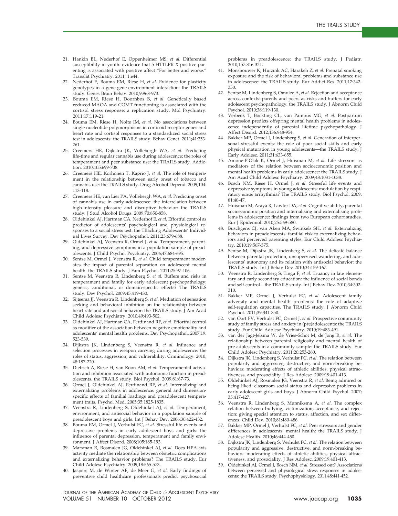- <span id="page-15-0"></span>21. Hankin BL, Nederhof E, Oppenheimer MS, *et al.* Differential susceptibility in youth: evidence that 5-HTTLPR X positive parenting is associated with positive affect "For better and worse." Translat Psychiatry. 2011; 1:e44.
- <span id="page-15-1"></span>22. Nederhof E, Bouma EM, Riese H, *et al.* Evidence for plasticity genotypes in a gene-gene-environment interaction: the TRAILS study. Genes Brain Behav. 2010;9:968-973.
- <span id="page-15-2"></span>23. Bouma EM, Riese H, Doornbos B, *et al.* Genetically based reduced MAOA and COMT functioning is associated with the cortisol stress response: a replication study. Mol Psychiatry. 2011;17:119-21.
- 24. Bouma EM, Riese H, Nolte IM, *et al.* No associations between single nucleotide polymorphisms in corticoid receptor genes and heart rate and cortisol responses to a standardized social stress test in adolescents: the TRAILS study. Behav Genet. 2011;41:253- 261.
- 25. Creemers HE, Dijkstra JK, Vollebergh WA, *et al.* Predicting life-time and regular cannabis use during adolescence; the roles of temperament and peer substance use: the TRAILS study. Addiction. 2010;105:699-708.
- 26. Creemers HE, Korhonen T, Kaprio J, *et al.* The role of temperament in the relationship between early onset of tobacco and cannabis use: the TRAILS study. Drug Alcohol Depend. 2009;104: 113-118.
- 27. Creemers HE, van Lier PA, Vollebergh WA, *et al.* Predicting onset of cannabis use in early adolescence: the interrelation between high-intensity pleasure and disruptive behavior: the TRAILS study. J Stud Alcohol Drugs. 2009;70:850-858.
- 28. Oldehinkel AJ, Hartman CA, Nederhof E, *et al.* Effortful control as predictor of adolescents' psychological and physiological responses to a social stress test: the TRacking Adolescents' Individual Lives Survey. Dev Psychopathol. 2011;23:679-688.
- 29. Oldehinkel AJ, Veenstra R, Ormel J, *et al.* Temperament, parenting, and depressive symptoms in a population sample of preadolescents. J Child Psychol Psychiatry. 2006;47:684-695.
- <span id="page-15-10"></span>30. Sentse M, Ormel J, Veenstra R, *et al.* Child temperament moderates the impact of parental separation on adolescent mental health: the TRAILS study. J Fam Psychol. 2011;25:97-106.
- 31. Sentse M, Veenstra R, Lindenberg S, *et al.* Buffers and risks in temperament and family for early adolescent psychopathology: generic, conditional, or domain-specific effects? The TRAILS study. Dev Psychol. 2009;45:419-430.
- 32. Sijtsema JJ, Veenstra R, Lindenberg S, *et al.* Mediation of sensation seeking and behavioral inhibition on the relationship between heart rate and antisocial behavior: the TRAILS study. J Am Acad Child Adolesc Psychiatry. 2010;49:493-502.
- <span id="page-15-3"></span>33. Oldehinkel AJ, Hartman CA, Ferdinand RF, *et al.* Effortful control as modifier of the association between negative emotionality and adolescents' mental health problems. Dev Psychopathol. 2007;19: 523-539.
- 34. Dijkstra JK, Lindenberg S, Veenstra R, *et al.* Influence and selection processes in weapon carrying during adolescence: the roles of status, aggression, and vulnerability. Criminology. 2010; 48:187-220.
- <span id="page-15-16"></span>35. Dietrich A, Riese H, van Roon AM, *et al.* Temperamental activation and inhibition associated with autonomic function in preadolescents. the TRAILS study. Biol Psychol. 2009;81:67-73.
- 36. Ormel J, Oldehinkel AJ, Ferdinand RF, *et al.* Internalizing and externalizing problems in adolescence: general and dimensionspecific effects of familial loadings and preadolescent temperament traits. Psychol Med. 2005;35:1825-1835.
- <span id="page-15-7"></span>37. Veenstra R, Lindenberg S, Oldehinkel AJ, *et al.* Temperament, environment, and antisocial behavior in a population sample of preadolescent boys and girls. Int J Behav Dev. 2006;30:422-432.
- 38. Bouma EM, Ormel J, Verhulst FC, *et al.* Stressful life events and depressive problems in early adolescent boys and girls: the influence of parental depression, temperament and family environment. J Affect Disord. 2008;105:185-193.
- <span id="page-15-4"></span>39. Marsman R, Rosmalen JG, Oldehinkel AJ, *et al.* Does HPA-axis activity mediate the relationship between obstetric complications and externalizing behavior problems? The TRAILS study. Eur Child Adolesc Psychiatry. 2009;18:565-573.
- 40. Jaspers M, de Winter AF, de Meer G, *et al.* Early findings of preventive child healthcare professionals predict psychosocial

problems in preadolescence: the TRAILS study. J Pediatr. 2010;157:316-321.

- <span id="page-15-6"></span>41. Monshouwer K, Huizink AC, Harakeh Z, *et al.* Prenatal smoking exposure and the risk of behavioral problems and substance use in adolescence: the TRAILS study. Eur Addict Res. 2011;17:342- 350.
- <span id="page-15-14"></span>Sentse M, Lindenberg S, Omvlee A, et al. Rejection and acceptance across contexts: parents and peers as risks and buffers for early adolescent psychopathology. the TRAILS study. J Abnorm Child Psychol. 2010;38:119-130.
- <span id="page-15-5"></span>43. Verbeek T, Bockting CL, van Pampus MG, *et al.* Postpartum depression predicts offspring mental health problems in adolescence independently of parental lifetime psychopathology. J Affect Disord. 2012;136:948-954.
- <span id="page-15-8"></span>44. Bakker MP, Ormel J, Lindenberg S, *et al.* Generation of interpersonal stressful events: the role of poor social skills and early physical maturation in young adolescents—the TRAILS study. J Early Adolesc. 2011;31:633-655.
- <span id="page-15-9"></span>45. Amone-P'Olak K, Ormel J, Huisman M, *et al.* Life stressors as mediators of the relation between socioeconomic position and mental health problems in early adolescence: the TRAILS study. J Am Acad Child Adolesc Psychiatry. 2009;48:1031-1038.
- 46. Bosch NM, Riese H, Ormel J, *et al.* Stressful life events and depressive symptoms in young adolescents: modulation by respiratory sinus arrhythmia? The TRAILS study. Biol Psychol. 2009; 81:40-47.
- 47. Huisman M, Araya R, Lawlor DA, *et al.* Cognitive ability, parental socioeconomic position and internalising and externalising problems in adolescence: findings from two European cohort studies. Eur J Epidemiol. 2010;25:569-580.
- 48. Buschgens CJ, van Aken MA, Swinkels SH, *et al.* Externalizing behaviors in preadolescents: familial risk to externalizing behaviors and perceived parenting styles. Eur Child Adolesc Psychiatry. 2010;19:567-575.
- Sentse M, Dijkstra JK, Lindenberg S, et al. The delicate balance between parental protection, unsupervised wandering, and adolescents' autonomy and its relation with antisocial behavior: the TRAILS study. Int J Behav Dev 2010;34:159-167.
- Veenstra R, Lindenberg S, Tinga F, et al. Truancy in late elementary and early secondary education: the influence of social bonds and self-control—the TRAILS study. Int J Behav Dev. 2010;34:302- 310.
- 51. Bakker MP, Ormel J, Verhulst FC, *et al.* Adolescent family adversity and mental health problems: the role of adaptive self-regulation capacities. The TRAILS study. J Abnorm Child Psychol. 2011;39:341-350.
- 52. van Oort FV, Verhulst FC, Ormel J, *et al.* Prospective community study of family stress and anxiety in (pre)adolescents: the TRAILS study. Eur Child Adolesc Psychiatry. 2010;19:483-491.
- <span id="page-15-11"></span>53. van der Jagt-Jelsma W, de Vries-Schot M, de Jong R, *et al.* The relationship between parental religiosity and mental health of pre-adolescents in a community sample: the TRAILS study. Eur Child Adolesc Psychiatry. 2011;20:253-260.
- 54. Dijkstra JK, Lindenberg S, Verhulst FC, *et al.* The relation between popularity and aggressive, destructive, and norm-breaking behaviors: moderating effects of athletic abilities, physical attractiveness, and prosociality. J Res Adolesc. 2009;19:401-413.
- <span id="page-15-13"></span>55. Oldehinkel AJ, Rosmalen JG, Veenstra R, *et al.* Being admired or being liked: classroom social status and depressive problems in early adolescent girls and boys. J Abnorm Child Psychol. 2007; 35:417-427.
- <span id="page-15-12"></span>56. Veenstra R, Lindenberg S, Munniksma A, *et al.* The complex relation between bullying, victimization, acceptance, and rejection: giving special attention to status, affection, and sex differences. Child Dev. 2010;81:480-486.
- 57. Bakker MP, Ormel J, Verhulst FC, *et al.* Peer stressors and gender differences in adolescents' mental health: the TRAILS study. J Adolesc Health. 2010;46:444-450.
- 58. Dijkstra JK, Lindenberg S, Verhulst FC, *et al.* The relation between popularity and aggressive, destructive, and norm-breaking behaviors: moderating effects of athletic abilities, physical attractiveness, and prosociality. J Res Adolesc. 2009;19:401-413.
- <span id="page-15-15"></span>59. Oldehinkel AJ, Ormel J, Bosch NM, *et al.* Stressed out? Associations between perceived and physiological stress responses in adolescents: the TRAILS study. Psychophysiology. 2011;48:441-452.